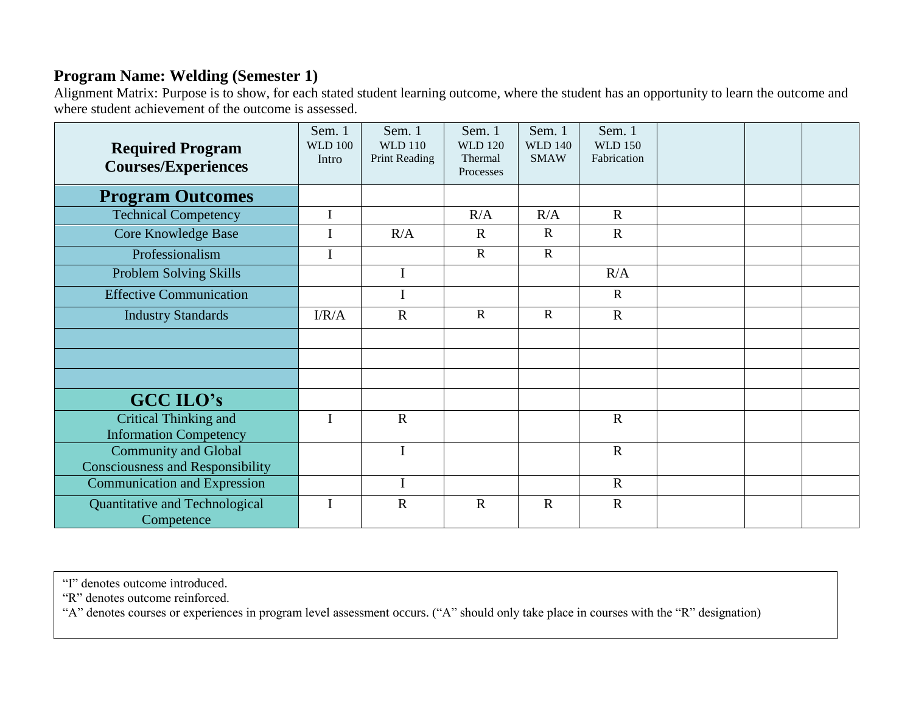## **Program Name: Welding (Semester 1)**

Alignment Matrix: Purpose is to show, for each stated student learning outcome, where the student has an opportunity to learn the outcome and where student achievement of the outcome is assessed.

| <b>Required Program</b><br><b>Courses/Experiences</b> | Sem. 1<br><b>WLD 100</b><br>Intro | Sem. 1<br><b>WLD 110</b><br>Print Reading | Sem. 1<br><b>WLD 120</b><br>Thermal<br>Processes | Sem. 1<br><b>WLD 140</b><br><b>SMAW</b> | Sem. 1<br><b>WLD 150</b><br>Fabrication |  |  |
|-------------------------------------------------------|-----------------------------------|-------------------------------------------|--------------------------------------------------|-----------------------------------------|-----------------------------------------|--|--|
| <b>Program Outcomes</b>                               |                                   |                                           |                                                  |                                         |                                         |  |  |
| <b>Technical Competency</b>                           | $\mathbf I$                       |                                           | R/A                                              | R/A                                     | $\mathbf R$                             |  |  |
| Core Knowledge Base                                   |                                   | R/A                                       | $\mathbf{R}$                                     | $\mathbf R$                             | $\mathbf R$                             |  |  |
| Professionalism                                       | I                                 |                                           | $\mathbf R$                                      | $\mathbf R$                             |                                         |  |  |
| Problem Solving Skills                                |                                   | $\bf I$                                   |                                                  |                                         | R/A                                     |  |  |
| <b>Effective Communication</b>                        |                                   | $\mathbf I$                               |                                                  |                                         | $\mathbf R$                             |  |  |
| <b>Industry Standards</b>                             | I/R/A                             | $\mathbf R$                               | $\mathbf{R}$                                     | $\mathbf R$                             | $\mathbf R$                             |  |  |
|                                                       |                                   |                                           |                                                  |                                         |                                         |  |  |
|                                                       |                                   |                                           |                                                  |                                         |                                         |  |  |
|                                                       |                                   |                                           |                                                  |                                         |                                         |  |  |
| <b>GCC ILO's</b>                                      |                                   |                                           |                                                  |                                         |                                         |  |  |
| Critical Thinking and                                 | $\mathbf I$                       | $\mathbf R$                               |                                                  |                                         | $\mathbf R$                             |  |  |
| <b>Information Competency</b>                         |                                   |                                           |                                                  |                                         |                                         |  |  |
| <b>Community and Global</b>                           |                                   | $\bf{I}$                                  |                                                  |                                         | $\mathbf R$                             |  |  |
| <b>Consciousness and Responsibility</b>               |                                   |                                           |                                                  |                                         |                                         |  |  |
| <b>Communication and Expression</b>                   |                                   | I                                         |                                                  |                                         | $\mathbf R$                             |  |  |
| Quantitative and Technological<br>Competence          |                                   | $\mathbf R$                               | $\mathbf R$                                      | $\mathbf R$                             | $\mathbf R$                             |  |  |

"I" denotes outcome introduced.

"R" denotes outcome reinforced.

"A" denotes courses or experiences in program level assessment occurs. ("A" should only take place in courses with the "R" designation)